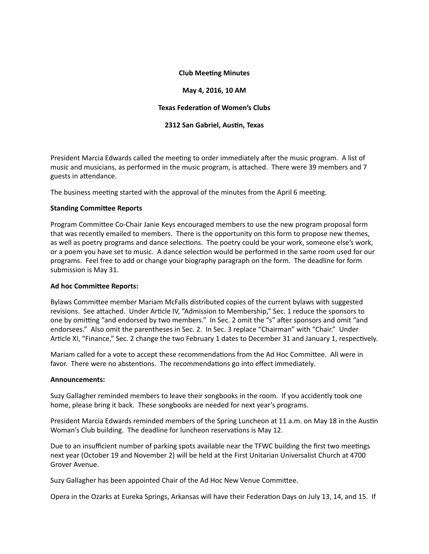### **Club Meeting Minutes**

#### **May 4, 2016, 10 AM**

### **Texas Federation of Women's Clubs**

#### **2312 San Gabriel, Austin, Texas**

President Marcia Edwards called the meeting to order immediately after the music program. A list of music and musicians, as performed in the music program, is attached. There were 39 members and 7 guests in attendance.

The business meeting started with the approval of the minutes from the April 6 meeting.

#### **Standing Committee Reports**

Program Committee Co-Chair Janie Keys encouraged members to use the new program proposal form that was recently emailed to members. There is the opportunity on this form to propose new themes, as well as poetry programs and dance selections. The poetry could be your work, someone else's work, or a poem you have set to music. A dance selection would be performed in the same room used for our programs. Feel free to add or change your biography paragraph on the form. The deadline for form submission is May 31.

#### **Ad hoc Committee Reports:**

Bylaws Committee member Mariam McFalls distributed copies of the current bylaws with suggested revisions. See attached. Under Article IV, "Admission to Membership," Sec. 1 reduce the sponsors to one by omitting "and endorsed by two members." In Sec. 2 omit the "s" after sponsors and omit "and endorsees." Also omit the parentheses in Sec. 2. In Sec. 3 replace "Chairman" with "Chair." Under Article XI, "Finance," Sec. 2 change the two February 1 dates to December 31 and January 1, respectively.

Mariam called for a vote to accept these recommendations from the Ad Hoc Committee. All were in favor. There were no abstentions. The recommendations go into effect immediately.

#### **Announcements:**

Suzy Gallagher reminded members to leave their songbooks in the room. If you accidently took one home, please bring it back. These songbooks are needed for next year's programs.

President Marcia Edwards reminded members of the Spring Luncheon at 11 a.m. on May 18 in the Austin Woman's Club building. The deadline for luncheon reservations is May 12.

Due to an insufficient number of parking spots available near the TFWC building the first two meetings next year (October 19 and November 2) will be held at the First Unitarian Universalist Church at 4700 Grover Avenue.

Suzy Gallagher has been appointed Chair of the Ad Hoc New Venue Committee.

Opera in the Ozarks at Eureka Springs, Arkansas will have their Federation Days on July 13, 14, and 15. If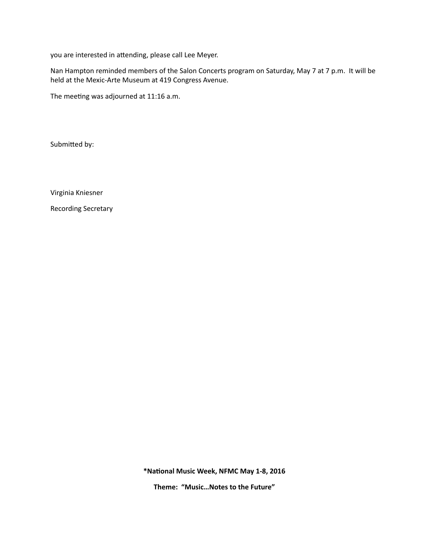you are interested in attending, please call Lee Meyer.

Nan Hampton reminded members of the Salon Concerts program on Saturday, May 7 at 7 p.m. It will be held at the Mexic-Arte Museum at 419 Congress Avenue.

The meeting was adjourned at 11:16 a.m.

Submitted by:

Virginia Kniesner

Recording Secretary

\*National Music Week, NFMC May 1-8, 2016

Theme: "Music...Notes to the Future"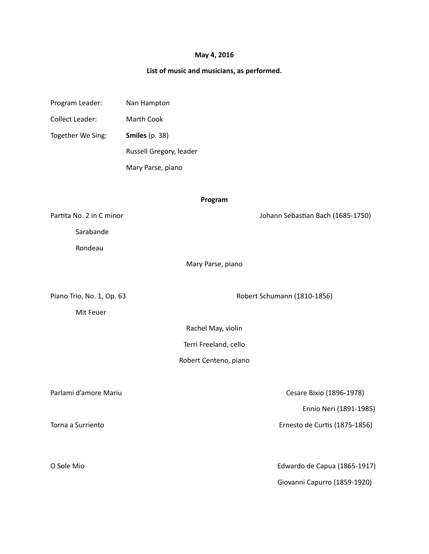## **May 4, 2016**

# List of music and musicians, as performed.

| Program Leader:           | Nan Hampton             |                                   |
|---------------------------|-------------------------|-----------------------------------|
| <b>Collect Leader:</b>    | Marth Cook              |                                   |
| Together We Sing:         | <b>Smiles</b> (p. 38)   |                                   |
|                           | Russell Gregory, leader |                                   |
|                           | Mary Parse, piano       |                                   |
|                           |                         |                                   |
| Program                   |                         |                                   |
| Partita No. 2 in C minor  |                         | Johann Sebastian Bach (1685-1750) |
| Sarabande                 |                         |                                   |
| Rondeau                   |                         |                                   |
| Mary Parse, piano         |                         |                                   |
|                           |                         |                                   |
| Piano Trio, No. 1, Op. 63 |                         | Robert Schumann (1810-1856)       |
| Mit Feuer                 |                         |                                   |
| Rachel May, violin        |                         |                                   |
| Terri Freeland, cello     |                         |                                   |
| Robert Centeno, piano     |                         |                                   |
|                           |                         |                                   |
| Parlami d'amore Mariu     |                         | Cesare Bixio (1896-1978)          |
|                           |                         | Ennio Neri (1891-1985)            |
| Torna a Surriento         |                         | Ernesto de Curtis (1875-1856)     |
|                           |                         |                                   |
| O Sole Mio                |                         | Edwardo de Capua (1865-1917)      |
|                           |                         | Giovanni Capurro (1859-1920)      |
|                           |                         |                                   |